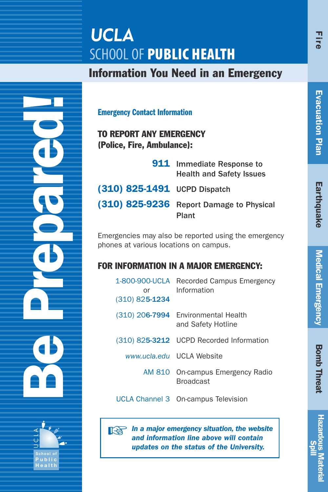# **UCLA SCHOOL OF PUBLIC HEALTH**

### Information You Need in an Emergency

Be Prepared! **S c h o o l o f P u b l i c**  $\supset$ C L A

Emergency Contact Information

TO REPORT ANY EMERGENCY (Police, Fire, Ambulance):

|                                | <b>911</b> Immediate Response to<br><b>Health and Safety Issues</b> |
|--------------------------------|---------------------------------------------------------------------|
| $(310)$ 825-1491 UCPD Dispatch |                                                                     |
| (310) 825-9236                 | <b>Report Damage to Physical</b><br>Plant                           |

Emergencies may also be reported using the emergency phones at various locations on campus.

### FOR INFORMATION IN A MAJOR EMERGENCY:

| 1-800-900-UCLA<br>or<br>$(310)$ 825-1234 | Recorded Campus Emergency<br>Information                  |
|------------------------------------------|-----------------------------------------------------------|
|                                          | (310) 206-7994 Environmental Health<br>and Safety Hotline |
|                                          | (310) 825-3212 UCPD Recorded Information                  |
|                                          | www.ucla.edu UCLA Website                                 |
|                                          | AM 810 On-campus Emergency Radio<br><b>Broadcast</b>      |
|                                          | UCLA Channel 3 On-campus Television                       |

☞ *In a major emergency situation, the website and information line above will contain updates on the status of the University.*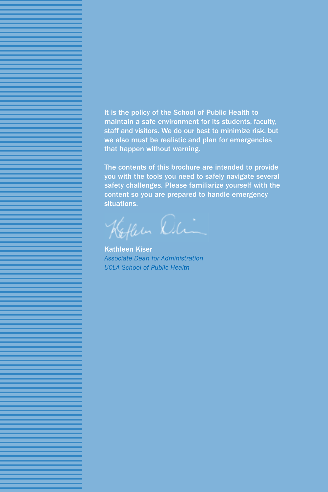It is the policy of the School of Public Health to maintain a safe environment for its students, faculty, staff and visitors. We do our best to minimize risk, but we also must be realistic and plan for emergencies that happen without warning.

The contents of this brochure are intended to provide you with the tools you need to safely navigate several safety challenges. Please familiarize yourself with the content so you are prepared to handle emergency situations.

Kofleen Din

Kathleen Kiser *Associate Dean for Administration UCLA School of Public Health*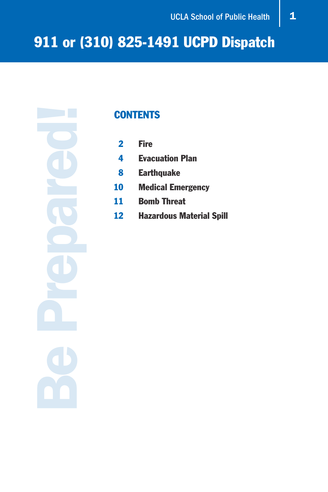Be Prepared!

### **CONTENTS**

- 2 Fire
- 4 Evacuation Plan
- 8 Earthquake
- 10 Medical Emergency
- 11 Bomb Threat
- 12 Hazardous Material Spill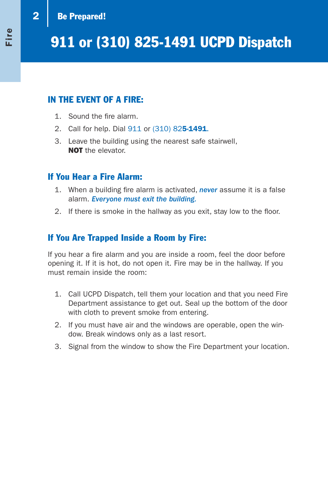### 2 | Be Prepared!

### IN THE EVENT OF A FIRE:

- 1. Sound the fire alarm.
- 2. Call for help. Dial 911 or (310) 825-1491.
- 3. Leave the building using the nearest safe stairwell, NOT the elevator.

#### If You Hear a Fire Alarm:

- 1. When a building fire alarm is activated, *never* assume it is a false alarm. *Everyone must exit the building.*
- 2. If there is smoke in the hallway as you exit, stay low to the floor.

### If You Are Trapped Inside a Room by Fire:

If you hear a fire alarm and you are inside a room, feel the door before opening it. If it is hot, do not open it. Fire may be in the hallway. If you must remain inside the room:

- 1. Call UCPD Dispatch, tell them your location and that you need Fire Department assistance to get out. Seal up the bottom of the door with cloth to prevent smoke from entering.
- 2. If you must have air and the windows are operable, open the window. Break windows only as a last resort.
- 3. Signal from the window to show the Fire Department your location.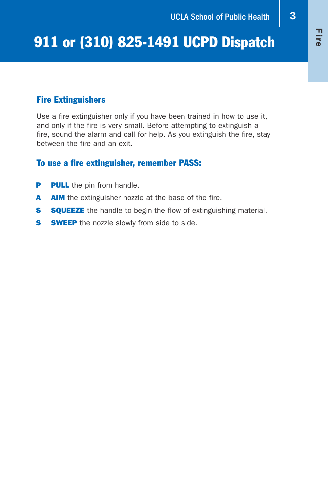#### Fire Extinguishers

Use a fire extinguisher only if you have been trained in how to use it, and only if the fire is very small. Before attempting to extinguish a fire, sound the alarm and call for help. As you extinguish the fire, stay between the fire and an exit.

#### To use a fire extinguisher, remember PASS:

- **P** PULL the pin from handle.
- A AIM the extinguisher nozzle at the base of the fire.
- **S SQUEEZE** the handle to begin the flow of extinguishing material.
- **S** SWEEP the nozzle slowly from side to side.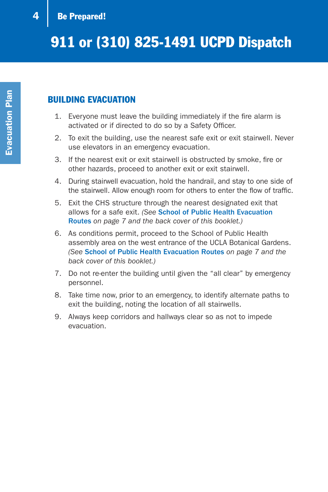### BUILDING EVACUATION

- 1. Everyone must leave the building immediately if the fire alarm is activated or if directed to do so by a Safety Officer.
- 2. To exit the building, use the nearest safe exit or exit stairwell. Never use elevators in an emergency evacuation.
- 3. If the nearest exit or exit stairwell is obstructed by smoke, fire or other hazards, proceed to another exit or exit stairwell.
- 4. During stairwell evacuation, hold the handrail, and stay to one side of the stairwell. Allow enough room for others to enter the flow of traffic.
- 5. Exit the CHS structure through the nearest designated exit that allows for a safe exit. *(See* School of Public Health Evacuation Routes *on page 7 and the back cover of this booklet.)*
- 6. As conditions permit, proceed to the School of Public Health assembly area on the west entrance of the UCLA Botanical Gardens. *(See* School of Public Health Evacuation Routes *on page 7 and the back cover of this booklet.)*
- 7. Do not re-enter the building until given the "all clear" by emergency personnel.
- 8. Take time now, prior to an emergency, to identify alternate paths to exit the building, noting the location of all stairwells.
- 9. Always keep corridors and hallways clear so as not to impede evacuation.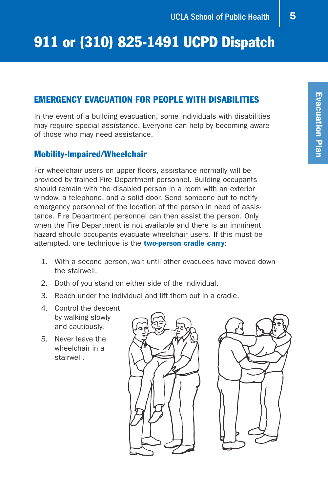#### EMERGENCY EVACUATION FOR PEOPLE WITH DISABILITIES

In the event of a building evacuation, some individuals with disabilities may require special assistance. Everyone can help by becoming aware of those who may need assistance.

#### Mobility-lmpaired/Wheelchair

For wheelchair users on upper floors, assistance normally will be provided by trained Fire Department personnel. Building occupants should remain with the disabled person in a room with an exterior window, a telephone, and a solid door. Send someone out to notify emergency personnel of the location of the person in need of assistance. Fire Department personnel can then assist the person. Only when the Fire Department is not available and there is an imminent hazard should occupants evacuate wheelchair users. If this must be attempted, one technique is the two-person cradle carry:

- 1. With a second person, wait until other evacuees have moved down the stairwell.
- 2. Both of you stand on either side of the individual.
- 3. Reach under the individual and lift them out in a cradle.
- 4. Control the descent by walking slowly and cautiously.
- 5. Never leave the wheelchair in a stairwell.



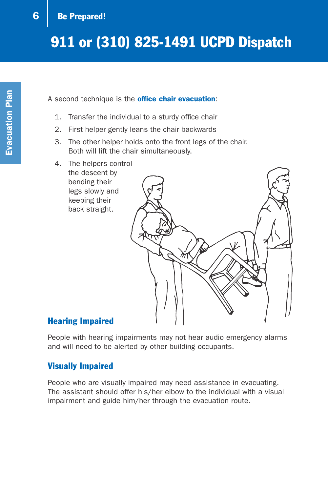#### A second technique is the **office chair evacuation:**

- 1. Transfer the individual to a sturdy office chair
- 2. First helper gently leans the chair backwards
- 3. The other helper holds onto the front legs of the chair. Both will lift the chair simultaneously.
- 4. The helpers control the descent by bending their legs slowly and keeping their back straight.



#### Hearing Impaired

People with hearing impairments may not hear audio emergency alarms and will need to be alerted by other building occupants.

#### Visually Impaired

People who are visually impaired may need assistance in evacuating. The assistant should offer his/her elbow to the individual with a visual impairment and guide him/her through the evacuation route.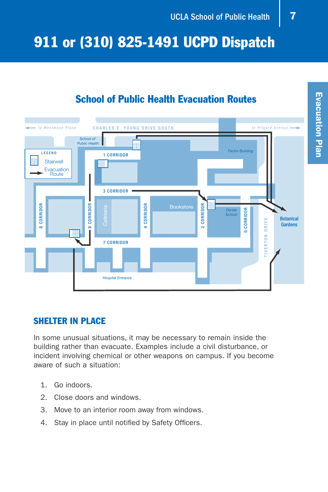### School of Public Health Evacuation Routes



#### SHELTER IN PLACE

In some unusual situations, it may be necessary to remain inside the building rather than evacuate. Examples include a civil disturbance, or incident involving chemical or other weapons on campus. If you become aware of such a situation:

- 1. Go indoors.
- 2. Close doors and windows.
- 3. Move to an interior room away from windows.
- 4. Stay in place until notified by Safety Officers.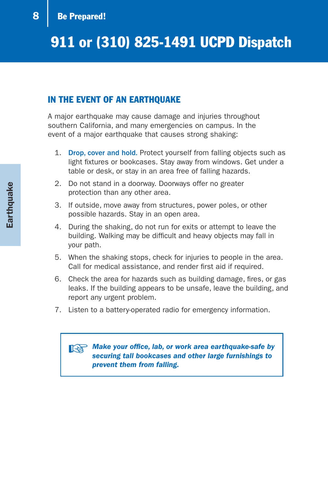#### IN THE EVENT OF AN EARTHQUAKE

A major earthquake may cause damage and injuries throughout southern California, and many emergencies on campus. In the event of a major earthquake that causes strong shaking:

- 1. Drop, cover and hold. Protect yourself from falling objects such as light fixtures or bookcases. Stay away from windows. Get under a table or desk, or stay in an area free of falling hazards.
- 2. Do not stand in a doorway. Doorways offer no greater protection than any other area.
- 3. If outside, move away from structures, power poles, or other possible hazards. Stay in an open area.
- 4. During the shaking, do not run for exits or attempt to leave the building. Walking may be difficult and heavy objects may fall in your path.
- 5. When the shaking stops, check for injuries to people in the area. Call for medical assistance, and render first aid if required.
- 6. Check the area for hazards such as building damage, fires, or gas leaks. If the building appears to be unsafe, leave the building, and report any urgent problem.
- 7. Listen to a battery-operated radio for emergency information.

#### ☞ *Make your office, lab, or work area earthquake-safe by securing tall bookcases and other large furnishings to prevent them from falling.*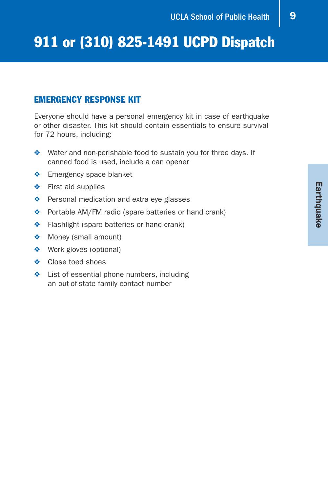#### EMERGENCY RESPONSE KIT

Everyone should have a personal emergency kit in case of earthquake or other disaster. This kit should contain essentials to ensure survival for 72 hours, including:

- ❖ Water and non-perishable food to sustain you for three days. If canned food is used, include a can opener
- ❖ Emergency space blanket
- ❖ First aid supplies
- ❖ Personal medication and extra eye glasses
- ❖ Portable AM/FM radio (spare batteries or hand crank)
- ❖ Flashlight (spare batteries or hand crank)
- ❖ Money (small amount)
- ❖ Work gloves (optional)
- ❖ Close toed shoes
- ❖ List of essential phone numbers, including an out-of-state family contact number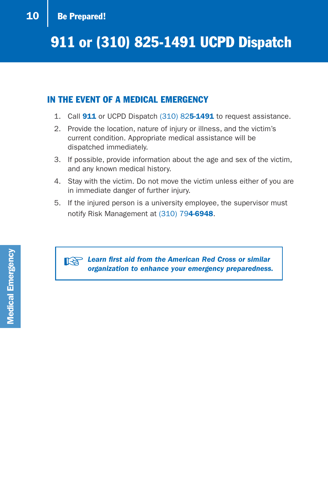### 10 | Be Prepared!

## 911 or (310) 825-1491 UCPD Dispatch

#### IN THE EVENT OF A MEDICAL EMERGENCY

- 1. Call **911** or UCPD Dispatch (310) 825-1491 to request assistance.
- 2. Provide the location, nature of injury or illness, and the victim's current condition. Appropriate medical assistance will be dispatched immediately.
- 3. If possible, provide information about the age and sex of the victim, and any known medical history.
- 4. Stay with the victim. Do not move the victim unless either of you are in immediate danger of further injury.
- 5. If the injured person is a university employee, the supervisor must notify Risk Management at (310) 794-6948.

☞ *Learn first aid from the American Red Cross or similar organization to enhance your emergency preparedness.*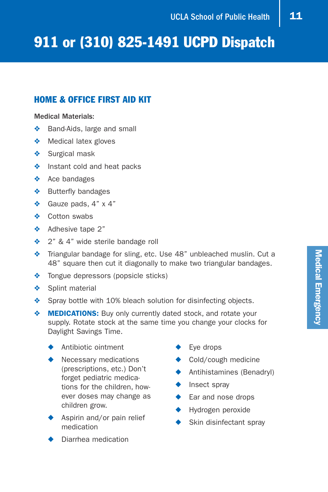#### HOME & OFFICE FIRST AID KIT

#### Medical Materials:

- ❖ Band-Aids, large and small
- ❖ Medical latex gloves
- ❖ Surgical mask
- ❖ Instant cold and heat packs
- ❖ Ace bandages
- ❖ Butterfly bandages
- ❖ Gauze pads, 4" x 4"
- ❖ Cotton swabs
- ❖ Adhesive tape 2"
- ◆ 2" & 4" wide sterile bandage roll
- ❖ Triangular bandage for sling, etc. Use 48" unbleached muslin. Cut a 48" square then cut it diagonally to make two triangular bandages.
- ❖ Tongue depressors (popsicle sticks)
- ❖ Splint material
- ❖ Spray bottle with 10% bleach solution for disinfecting objects.
- ◆ **MEDICATIONS:** Buy only currently dated stock, and rotate your supply. Rotate stock at the same time you change your clocks for Daylight Savings Time.
	- ◆ Antibiotic ointment
	- ◆ Necessary medications (prescriptions, etc.) Don't forget pediatric medications for the children, however doses may change as children grow.
	- Aspirin and/or pain relief medication
	- Diarrhea medication
- ◆ Eye drops
- ◆ Cold/cough medicine
- ◆ Antihistamines (Benadryl)
- ◆ Insect spray
- ◆ Ear and nose drops
- ◆ Hydrogen peroxide
- ◆ Skin disinfectant spray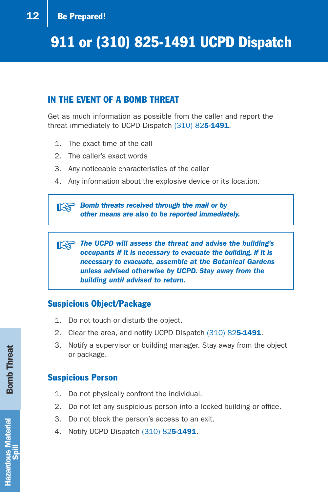### 12 | Be Prepared!

## 911 or (310) 825-1491 UCPD Dispatch

#### IN THE EVENT OF A BOMB THREAT

Get as much information as possible from the caller and report the threat immediately to UCPD Dispatch (310) 825-1491.

- 1. The exact time of the call
- 2. The caller's exact words
- 3. Any noticeable characteristics of the caller
- 4. Any information about the explosive device or its location.

☞ *Bomb threats received through the mail or by other means are also to be reported immediately.*

☞ *The UCPD will assess the threat and advise the building's occupants if it is necessary to evacuate the building. If it is necessary to evacuate, assemble at the Botanical Gardens unless advised otherwise by UCPD. Stay away from the building until advised to return.*

#### Suspicious Object/Package

- 1. Do not touch or disturb the object.
- 2. Clear the area, and notify UCPD Dispatch (310) 825-1491.
- 3. Notify a supervisor or building manager. Stay away from the object or package.

#### Suspicious Person

- 1. Do not physically confront the individual.
- 2. Do not let any suspicious person into a locked building or office.
- 3. Do not block the person's access to an exit.
- 4. Notify UCPD Dispatch (310) 825-1491.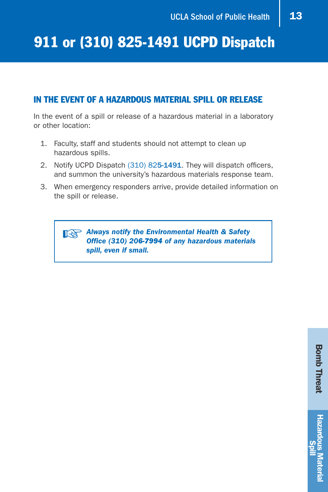#### IN THE EVENT OF A HAZARDOUS MATERIAL SPILL OR RELEASE

In the event of a spill or release of a hazardous material in a laboratory or other location:

- 1. Faculty, staff and students should not attempt to clean up hazardous spills.
- 2. Notify UCPD Dispatch (310) 825-1491. They will dispatch officers, and summon the university's hazardous materials response team.
- 3. When emergency responders arrive, provide detailed information on the spill or release.

☞ *Always notify the Environmental Health & Safety Office (310) 206-7994 of any hazardous materials spill, even if small.*